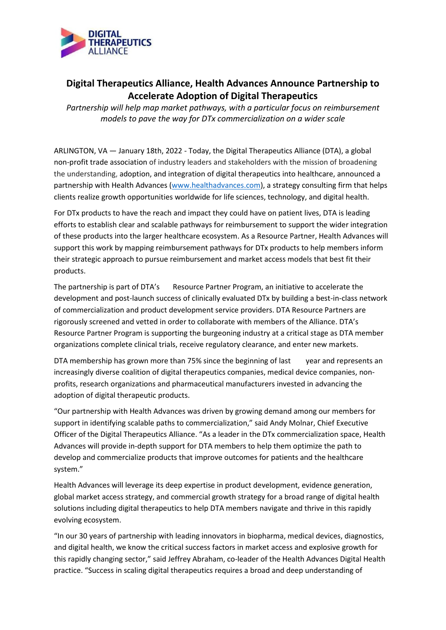

# **Digital Therapeutics Alliance, Health Advances Announce Partnership to Accelerate Adoption of Digital Therapeutics**

*Partnership will help map market pathways, with a particular focus on reimbursement models to pave the way for DTx commercialization on a wider scale*

ARLINGTON, VA — January 18th, 2022 - Today, the Digital Therapeutics Alliance (DTA), a global non-profit trade association of industry leaders and stakeholders with the mission of broadening the understanding, adoption, and integration of digital therapeutics into healthcare, announced a partnership with Health Advances [\(www.healthadvances.com\)](http://www.healthadvances.com/), a strategy consulting firm that helps clients realize growth opportunities worldwide for life sciences, technology, and digital health.

For DTx products to have the reach and impact they could have on patient lives, DTA is leading efforts to establish clear and scalable pathways for reimbursement to support the wider integration of these products into the larger healthcare ecosystem. As a Resource Partner, Health Advances will support this work by mapping reimbursement pathways for DTx products to help members inform their strategic approach to pursue reimbursement and market access models that best fit their products.

The partnership is part of DTA's Resource Partner Program, an initiative to accelerate the development and post-launch success of clinically evaluated DTx by building a best-in-class network of commercialization and product development service providers. DTA Resource Partners are rigorously screened and vetted in order to collaborate with members of the Alliance. DTA's Resource Partner Program is supporting the burgeoning industry at a critical stage as DTA member organizations complete clinical trials, receive regulatory clearance, and enter new markets.

DTA membership has grown more than 75% since the beginning of last vear and represents an increasingly diverse coalition of digital therapeutics companies, medical device companies, nonprofits, research organizations and pharmaceutical manufacturers invested in advancing the adoption of digital therapeutic products.

"Our partnership with Health Advances was driven by growing demand among our members for support in identifying scalable paths to commercialization," said Andy Molnar, Chief Executive Officer of the Digital Therapeutics Alliance. "As a leader in the DTx commercialization space, Health Advances will provide in-depth support for DTA members to help them optimize the path to develop and commercialize products that improve outcomes for patients and the healthcare system."

Health Advances will leverage its deep expertise in product development, evidence generation, global market access strategy, and commercial growth strategy for a broad range of digital health solutions including digital therapeutics to help DTA members navigate and thrive in this rapidly evolving ecosystem.

"In our 30 years of partnership with leading innovators in biopharma, medical devices, diagnostics, and digital health, we know the critical success factors in market access and explosive growth for this rapidly changing sector," said Jeffrey Abraham, co-leader of the Health Advances Digital Health practice. "Success in scaling digital therapeutics requires a broad and deep understanding of